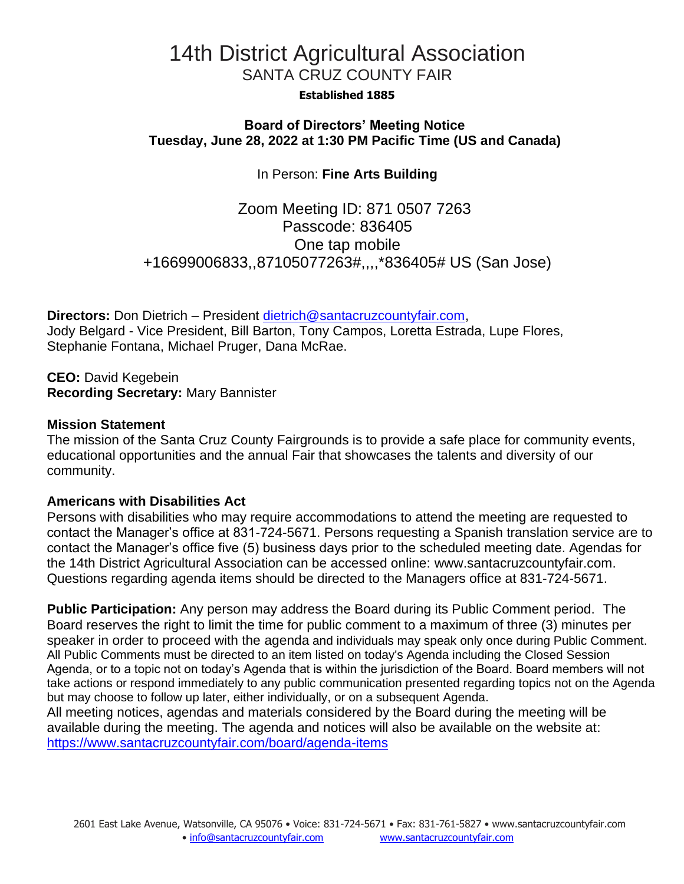# 14th District Agricultural Association SANTA CRUZ COUNTY FAIR

#### **Established 1885**

### **Board of Directors' Meeting Notice Tuesday, June 28, 2022 at 1:30 PM Pacific Time (US and Canada)**

# In Person: **Fine Arts Building**

Zoom Meeting ID: 871 0507 7263 Passcode: 836405 One tap mobile +16699006833,,87105077263#,,,,\*836405# US (San Jose)

**Directors:** Don Dietrich – President [dietrich@santacruzcountyfair.com,](mailto:dietrich@santacruzcountyfair.com) Jody Belgard - Vice President, Bill Barton, Tony Campos, Loretta Estrada, Lupe Flores, Stephanie Fontana, Michael Pruger, Dana McRae.

**CEO:** David Kegebein **Recording Secretary:** Mary Bannister

#### **Mission Statement**

The mission of the Santa Cruz County Fairgrounds is to provide a safe place for community events, educational opportunities and the annual Fair that showcases the talents and diversity of our community.

#### **Americans with Disabilities Act**

Persons with disabilities who may require accommodations to attend the meeting are requested to contact the Manager's office at 831-724-5671. Persons requesting a Spanish translation service are to contact the Manager's office five (5) business days prior to the scheduled meeting date. Agendas for the 14th District Agricultural Association can be accessed online: [www.santacruzcountyfair.com.](http://www.santacruzcountyfair.com/) Questions regarding agenda items should be directed to the Managers office at 831-724-5671.

**Public Participation:** Any person may address the Board during its Public Comment period.The Board reserves the right to limit the time for public comment to a maximum of three (3) minutes per speaker in order to proceed with the agenda and individuals may speak only once during Public Comment. All Public Comments must be directed to an item listed on today's Agenda including the Closed Session Agenda, or to a topic not on today's Agenda that is within the jurisdiction of the Board. Board members will not take actions or respond immediately to any public communication presented regarding topics not on the Agenda but may choose to follow up later, either individually, or on a subsequent Agenda.

All meeting notices, agendas and materials considered by the Board during the meeting will be available during the meeting. The agenda and notices will also be available on the website at: <https://www.santacruzcountyfair.com/board/agenda-items>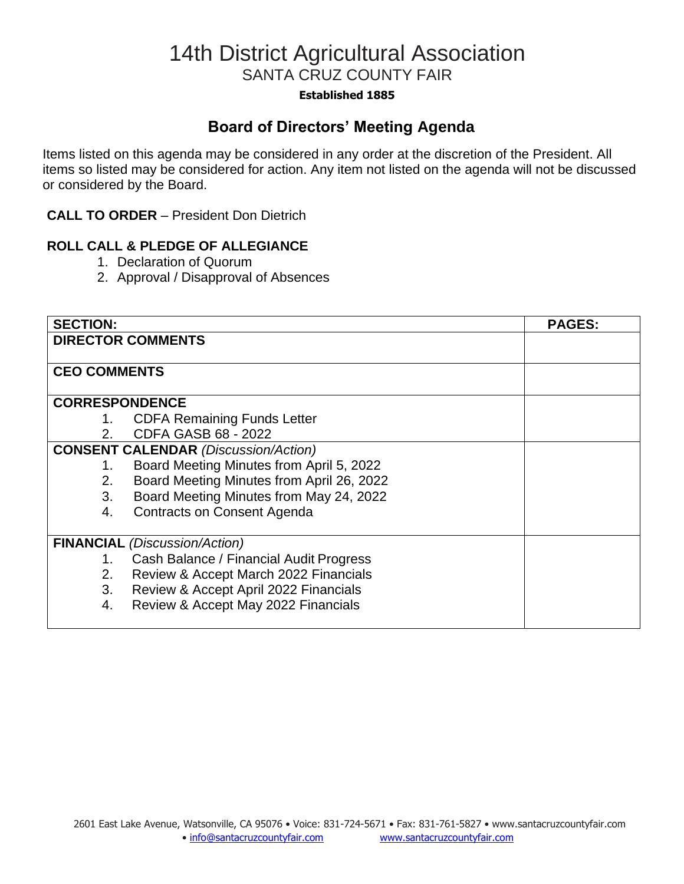# 14th District Agricultural Association SANTA CRUZ COUNTY FAIR

#### **Established 1885**

# **Board of Directors' Meeting Agenda**

Items listed on this agenda may be considered in any order at the discretion of the President. All items so listed may be considered for action. Any item not listed on the agenda will not be discussed or considered by the Board.

### **CALL TO ORDER** – President Don Dietrich

### **ROLL CALL & PLEDGE OF ALLEGIANCE**

- 1. Declaration of Quorum
- 2. Approval / Disapproval of Absences

| <b>SECTION:</b>                             |                                           | <b>PAGES:</b> |
|---------------------------------------------|-------------------------------------------|---------------|
| <b>DIRECTOR COMMENTS</b>                    |                                           |               |
|                                             |                                           |               |
| <b>CEO COMMENTS</b>                         |                                           |               |
|                                             |                                           |               |
| <b>CORRESPONDENCE</b>                       |                                           |               |
| 1.                                          | <b>CDFA Remaining Funds Letter</b>        |               |
| $2_{-}$                                     | <b>CDFA GASB 68 - 2022</b>                |               |
| <b>CONSENT CALENDAR (Discussion/Action)</b> |                                           |               |
| 1.                                          | Board Meeting Minutes from April 5, 2022  |               |
| 2.                                          | Board Meeting Minutes from April 26, 2022 |               |
| 3.                                          | Board Meeting Minutes from May 24, 2022   |               |
| 4.                                          | <b>Contracts on Consent Agenda</b>        |               |
|                                             |                                           |               |
|                                             | <b>FINANCIAL</b> (Discussion/Action)      |               |
| 1.                                          | Cash Balance / Financial Audit Progress   |               |
| 2.                                          | Review & Accept March 2022 Financials     |               |
| 3.                                          | Review & Accept April 2022 Financials     |               |
| 4.                                          | Review & Accept May 2022 Financials       |               |